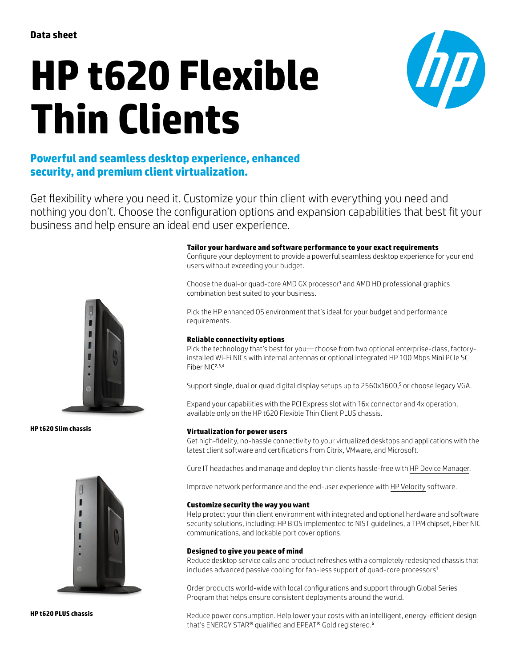# **HP t620 Flexible Thin Clients**



## **Powerful and seamless desktop experience, enhanced security, and premium client virtualization.**

Get flexibility where you need it. Customize your thin client with everything you need and nothing you don't. Choose the configuration options and expansion capabilities that best fit your business and help ensure an ideal end user experience.



**HP t620 Slim chassis**



**HP t620 PLUS chassis**

#### **Tailor your hardware and software performance to your exact requirements**

Configure your deployment to provide a powerful seamless desktop experience for your end users without exceeding your budget.

Choose the dual-or quad-core AMD GX processor<sup>1</sup> and AMD HD professional graphics combination best suited to your business.

Pick the HP enhanced OS environment that's ideal for your budget and performance requirements.

#### **Reliable connectivity options**

Pick the technology that's best for you—choose from two optional enterprise-class, factoryinstalled Wi-Fi NICs with internal antennas or optional integrated HP 100 Mbps Mini PCIe SC Fiber NIC<sup>2,3,4</sup>

Support single, dual or quad digital display setups up to 2560x1600,<sup>5</sup> or choose legacy VGA.

Expand your capabilities with the PCI Express slot with 16x connector and 4x operation, available only on the HP t620 Flexible Thin Client PLUS chassis.

#### **Virtualization for power users**

Get high-fidelity, no-hassle connectivity to your virtualized desktops and applications with the latest client software and certifications from Citrix, VMware, and Microsoft.

Cure IT headaches and manage and deploy thin clients hassle-free with [HP Device Manager](http://www.hp.com/go/hpdm).

Improve network performance and the end-user experience with [HP Velocity](http://www.hp.com/go/velocity) software.

#### **Customize security the way you want**

Help protect your thin client environment with integrated and optional hardware and software security solutions, including: HP BIOS implemented to NIST guidelines, a TPM chipset, Fiber NIC communications, and lockable port cover options.

#### **Designed to give you peace of mind**

Reduce desktop service calls and product refreshes with a completely redesigned chassis that includes advanced passive cooling for fan-less support of quad-core processors<sup>1</sup>

Order products world-wide with local configurations and support through Global Series Program that helps ensure consistent deployments around the world.

Reduce power consumption. Help lower your costs with an intelligent, energy-efficient design that's ENERGY STAR® qualified and EPEAT® Gold registered.<sup>6</sup>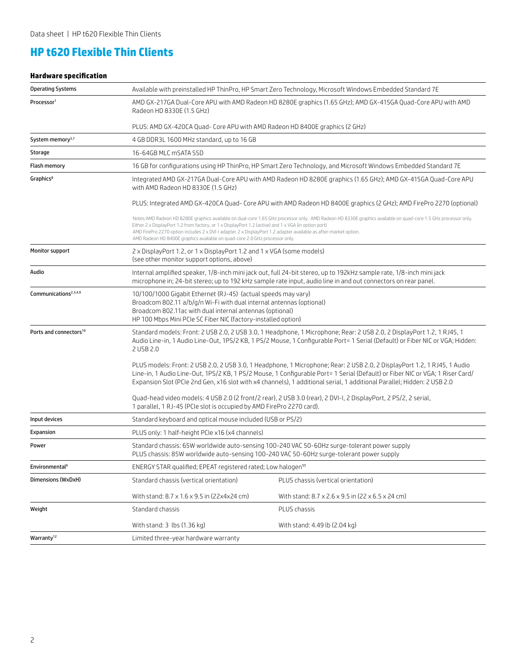## **HP t620 Flexible Thin Clients**

### **Hardware specification**

| <b>Operating Systems</b>           |                                                                                                                                                                                                                                                                                                                                                                                                                                                                                           | Available with preinstalled HP ThinPro, HP Smart Zero Technology, Microsoft Windows Embedded Standard 7E        |  |  |
|------------------------------------|-------------------------------------------------------------------------------------------------------------------------------------------------------------------------------------------------------------------------------------------------------------------------------------------------------------------------------------------------------------------------------------------------------------------------------------------------------------------------------------------|-----------------------------------------------------------------------------------------------------------------|--|--|
| Processor <sup>1</sup>             | AMD GX-217GA Dual-Core APU with AMD Radeon HD 8280E graphics (1.65 GHz); AMD GX-415GA Quad-Core APU with AMD<br>Radeon HD 8330E (1.5 GHz)                                                                                                                                                                                                                                                                                                                                                 |                                                                                                                 |  |  |
|                                    | PLUS: AMD GX-420CA Quad- Core APU with AMD Radeon HD 8400E graphics (2 GHz)                                                                                                                                                                                                                                                                                                                                                                                                               |                                                                                                                 |  |  |
| System memory <sup>3,7</sup>       | 4 GB DDR3L 1600 MHz standard, up to 16 GB                                                                                                                                                                                                                                                                                                                                                                                                                                                 |                                                                                                                 |  |  |
| Storage                            | 16-64GB MLC mSATA SSD                                                                                                                                                                                                                                                                                                                                                                                                                                                                     |                                                                                                                 |  |  |
| <b>Flash memory</b>                |                                                                                                                                                                                                                                                                                                                                                                                                                                                                                           | 16 GB for configurations using HP ThinPro, HP Smart Zero Technology, and Microsoft Windows Embedded Standard 7E |  |  |
| Graphics <sup>8</sup>              | Integrated AMD GX-217GA Dual-Core APU with AMD Radeon HD 8280E graphics (1.65 GHz); AMD GX-415GA Quad-Core APU<br>with AMD Radeon HD 8330E (1.5 GHz)                                                                                                                                                                                                                                                                                                                                      |                                                                                                                 |  |  |
|                                    | PLUS: Integrated AMD GX-420CA Quad- Core APU with AMD Radeon HD 8400E graphics (2 GHz); AMD FirePro 2270 (optional)                                                                                                                                                                                                                                                                                                                                                                       |                                                                                                                 |  |  |
|                                    | Notes:AMD Radeon HD 8280E graphics available on dual-core 1.65 GHz processor only. AMD Radeon HD 8330E graphics available on quad-core 1.5 GHz processor only.<br>Either 2 x DisplayPort 1.2 from factory, or $1 \times$ DisplayPort 1.2 (active) and $1 \times VGA$ (in option port)<br>AMD FirePro 2270 option includes 2 x DVI-I adapter. 2 x DisplayPort 1.2 adapter available as after-market option.<br>AMD Radeon HD 8400E graphics available on guad-core 2.0 GHz processor only. |                                                                                                                 |  |  |
| <b>Monitor support</b>             | 2 x DisplayPort 1.2, or 1 x DisplayPort 1.2 and 1 x VGA (some models)<br>(see other monitor support options, above)                                                                                                                                                                                                                                                                                                                                                                       |                                                                                                                 |  |  |
| Audio                              | Internal amplified speaker, 1/8-inch mini jack out, full 24-bit stereo, up to 192kHz sample rate, 1/8-inch mini jack<br>microphone in; 24-bit stereo; up to 192 kHz sample rate input, audio line in and out connectors on rear panel.                                                                                                                                                                                                                                                    |                                                                                                                 |  |  |
| Communications <sup>2,3,4,9</sup>  | 10/100/1000 Gigabit Ethernet (RJ-45) (actual speeds may vary)<br>Broadcom 802.11 a/b/g/n Wi-Fi with dual internal antennas (optional)<br>Broadcom 802.11ac with dual internal antennas (optional)<br>HP 100 Mbps Mini PCIe SC Fiber NIC (factory-installed option)                                                                                                                                                                                                                        |                                                                                                                 |  |  |
| Ports and connectors <sup>10</sup> | Standard models: Front: 2 USB 2.0, 2 USB 3.0, 1 Headphone, 1 Microphone; Rear: 2 USB 2.0, 2 DisplayPort 1.2, 1 RJ45, 1<br>Audio Line-in, 1 Audio Line-Out, 1PS/2 KB, 1 PS/2 Mouse, 1 Configurable Port= 1 Serial (Default) or Fiber NIC or VGA; Hidden:<br>2 USB 2.0                                                                                                                                                                                                                      |                                                                                                                 |  |  |
|                                    | PLUS models: Front: 2 USB 2.0, 2 USB 3.0, 1 Headphone, 1 Microphone; Rear: 2 USB 2.0, 2 DisplayPort 1.2, 1 RJ45, 1 Audio<br>Line-in, 1 Audio Line-Out, 1PS/2 KB, 1 PS/2 Mouse, 1 Configurable Port= 1 Serial (Default) or Fiber NIC or VGA; 1 Riser Card/<br>Expansion Slot (PCIe 2nd Gen, x16 slot with x4 channels), 1 additional serial, 1 additional Parallel; Hidden: 2 USB 2.0                                                                                                      |                                                                                                                 |  |  |
|                                    | Quad-head video models: 4 USB 2.0 (2 front/2 rear), 2 USB 3.0 (rear), 2 DVI-I, 2 DisplayPort, 2 PS/2, 2 serial,<br>1 parallel, 1 RJ-45 (PCIe slot is occupied by AMD FirePro 2270 card).                                                                                                                                                                                                                                                                                                  |                                                                                                                 |  |  |
| Input devices                      | Standard keyboard and optical mouse included (USB or PS/2)                                                                                                                                                                                                                                                                                                                                                                                                                                |                                                                                                                 |  |  |
| Expansion                          | PLUS only: 1 half-height PCIe x16 (x4 channels)                                                                                                                                                                                                                                                                                                                                                                                                                                           |                                                                                                                 |  |  |
| Power                              | Standard chassis: 65W worldwide auto-sensing 100-240 VAC 50-60Hz surge-tolerant power supply<br>PLUS chassis: 85W worldwide auto-sensing 100-240 VAC 50-60Hz surge-tolerant power supply                                                                                                                                                                                                                                                                                                  |                                                                                                                 |  |  |
| Environmental <sup>6</sup>         | ENERGY STAR qualified; EPEAT registered rated; Low halogen <sup>11</sup>                                                                                                                                                                                                                                                                                                                                                                                                                  |                                                                                                                 |  |  |
| Dimensions (WxDxH)                 | Standard chassis (vertical orientation)                                                                                                                                                                                                                                                                                                                                                                                                                                                   | PLUS chassis (vertical orientation)                                                                             |  |  |
|                                    | With stand: 8.7 x 1.6 x 9.5 in (22x4x24 cm)                                                                                                                                                                                                                                                                                                                                                                                                                                               | With stand: 8.7 x 2.6 x 9.5 in (22 x 6.5 x 24 cm)                                                               |  |  |
| Weight                             | Standard chassis                                                                                                                                                                                                                                                                                                                                                                                                                                                                          | PLUS chassis                                                                                                    |  |  |
|                                    | With stand: 3 lbs (1.36 kg)                                                                                                                                                                                                                                                                                                                                                                                                                                                               | With stand: 4.49 lb (2.04 kg)                                                                                   |  |  |
| Warranty <sup>12</sup>             | Limited three-year hardware warranty                                                                                                                                                                                                                                                                                                                                                                                                                                                      |                                                                                                                 |  |  |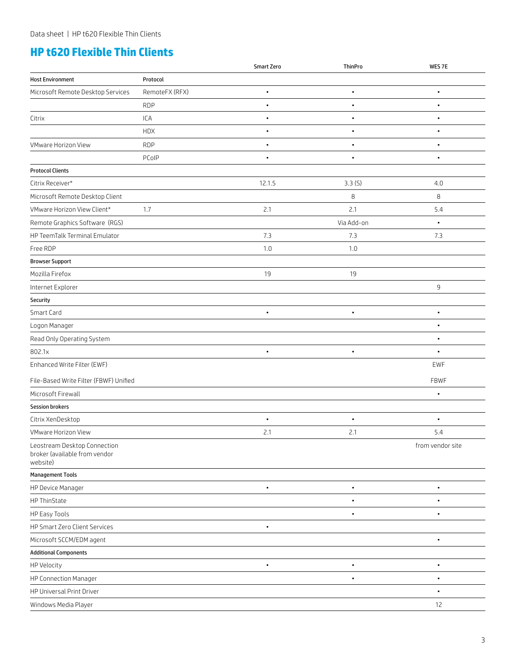## **HP t620 Flexible Thin Clients**

|                                                                           |                | Smart Zero | ThinPro    | WES 7E           |
|---------------------------------------------------------------------------|----------------|------------|------------|------------------|
| <b>Host Environment</b>                                                   | Protocol       |            |            |                  |
| Microsoft Remote Desktop Services                                         | RemoteFX (RFX) | $\bullet$  | $\bullet$  | $\bullet$        |
|                                                                           | <b>RDP</b>     | $\bullet$  | $\bullet$  | $\bullet$        |
| Citrix                                                                    | ICA            | $\bullet$  | $\bullet$  | $\bullet$        |
|                                                                           | <b>HDX</b>     | $\bullet$  | $\bullet$  | $\bullet$        |
| VMware Horizon View                                                       | <b>RDP</b>     | $\bullet$  |            | $\bullet$        |
|                                                                           | PCoIP          | $\bullet$  | $\bullet$  | $\bullet$        |
| <b>Protocol Clients</b>                                                   |                |            |            |                  |
| Citrix Receiver*                                                          |                | 12.1.5     | 3.3(S)     | 4.0              |
| Microsoft Remote Desktop Client                                           |                |            | 8          | 8                |
| VMware Horizon View Client*                                               | 1.7            | 2.1        | 2.1        | 5.4              |
| Remote Graphics Software (RGS)                                            |                |            | Via Add-on | $\bullet$        |
| HP TeemTalk Terminal Emulator                                             |                | 7.3        | 7.3        | 7.3              |
| Free RDP                                                                  |                | 1.0        | 1.0        |                  |
| <b>Browser Support</b>                                                    |                |            |            |                  |
| Mozilla Firefox                                                           |                | 19         | 19         |                  |
| Internet Explorer                                                         |                |            |            | $\mathsf 9$      |
| Security                                                                  |                |            |            |                  |
| Smart Card                                                                |                | $\bullet$  | $\bullet$  | $\bullet$        |
| Logon Manager                                                             |                |            |            | $\bullet$        |
| Read Only Operating System                                                |                |            |            |                  |
| 802.1x                                                                    |                | $\bullet$  | $\bullet$  | $\bullet$        |
| Enhanced Write Filter (EWF)                                               |                |            |            | EWF              |
| File-Based Write Filter (FBWF) Unified                                    |                |            |            | FBWF             |
| Microsoft Firewall                                                        |                |            |            | $\bullet$        |
| <b>Session brokers</b>                                                    |                |            |            |                  |
| Citrix XenDesktop                                                         |                | $\bullet$  | $\bullet$  | $\bullet$        |
| VMware Horizon View                                                       |                | 2.1        | 2.1        | 5.4              |
| Leostream Desktop Connection<br>broker (available from vendor<br>website) |                |            |            | from vendor site |
| <b>Management Tools</b>                                                   |                |            |            |                  |
| HP Device Manager                                                         |                | $\bullet$  | $\bullet$  | $\bullet$        |
| HP ThinState                                                              |                |            | $\bullet$  | $\bullet$        |
| HP Easy Tools                                                             |                |            |            | $\bullet$        |
| HP Smart Zero Client Services                                             |                | $\bullet$  |            |                  |
| Microsoft SCCM/EDM agent                                                  |                |            |            | $\bullet$        |
| <b>Additional Components</b>                                              |                |            |            |                  |
| <b>HP Velocity</b>                                                        |                | $\bullet$  | $\bullet$  | $\bullet$        |
| HP Connection Manager                                                     |                |            | $\bullet$  | $\bullet$        |
| HP Universal Print Driver                                                 |                |            |            | $\bullet$        |
| Windows Media Player                                                      |                |            |            | $12$             |